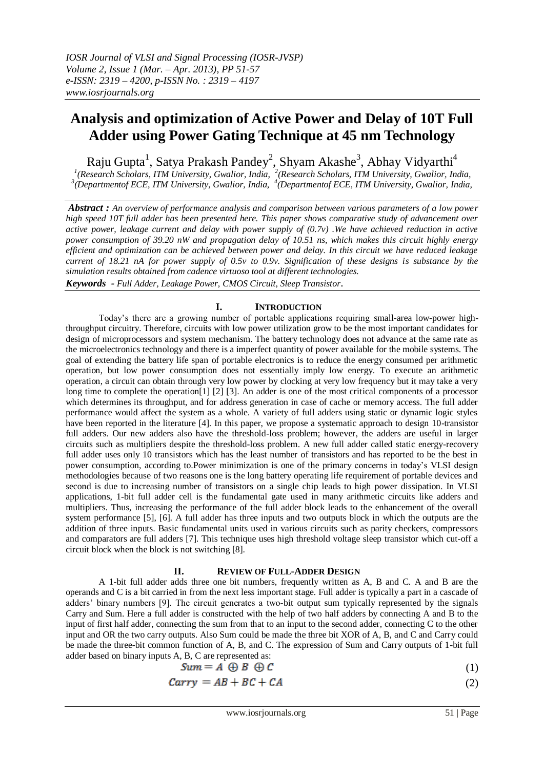# **Analysis and optimization of Active Power and Delay of 10T Full Adder using Power Gating Technique at 45 nm Technology**

Raju Gupta<sup>1</sup>, Satya Prakash Pandey<sup>2</sup>, Shyam Akashe<sup>3</sup>, Abhay Vidyarthi<sup>4</sup> <sup>1</sup>(Research Scholars, ITM University, Gwalior, India, <sup>2</sup>(Research Scholars, ITM University, Gwalior, India, <sup>3</sup>(Departmentof ECE, ITM University, Gwalior, India,

*Abstract : An overview of performance analysis and comparison between various parameters of a low power high speed 10T full adder has been presented here. This paper shows comparative study of advancement over active power, leakage current and delay with power supply of (0.7v) .We have achieved reduction in active power consumption of 39.20 nW and propagation delay of 10.51 ns, which makes this circuit highly energy efficient and optimization can be achieved between power and delay. In this circuit we have reduced leakage current of 18.21 nA for power supply of 0.5v to 0.9v. Signification of these designs is substance by the simulation results obtained from cadence virtuoso tool at different technologies.*

*Keywords - Full Adder, Leakage Power, CMOS Circuit, Sleep Transistor*.

# **I. INTRODUCTION**

Today's there are a growing number of portable applications requiring small-area low-power highthroughput circuitry. Therefore, circuits with low power utilization grow to be the most important candidates for design of microprocessors and system mechanism. The battery technology does not advance at the same rate as the microelectronics technology and there is a imperfect quantity of power available for the mobile systems. The goal of extending the battery life span of portable electronics is to reduce the energy consumed per arithmetic operation, but low power consumption does not essentially imply low energy. To execute an arithmetic operation, a circuit can obtain through very low power by clocking at very low frequency but it may take a very long time to complete the operation[1] [2] [3]. An adder is one of the most critical components of a processor which determines its throughput, and for address generation in case of cache or memory access. The full adder performance would affect the system as a whole. A variety of full adders using static or dynamic logic styles have been reported in the literature [4]. In this paper, we propose a systematic approach to design 10-transistor full adders. Our new adders also have the threshold-loss problem; however, the adders are useful in larger circuits such as multipliers despite the threshold-loss problem. A new full adder called static energy-recovery full adder uses only 10 transistors which has the least number of transistors and has reported to be the best in power consumption, according to.Power minimization is one of the primary concerns in today's VLSI design methodologies because of two reasons one is the long battery operating life requirement of portable devices and second is due to increasing number of transistors on a single chip leads to high power dissipation. In VLSI applications, 1-bit full adder cell is the fundamental gate used in many arithmetic circuits like adders and multipliers. Thus, increasing the performance of the full adder block leads to the enhancement of the overall system performance [5], [6]. A full adder has three inputs and two outputs block in which the outputs are the addition of three inputs. Basic fundamental units used in various circuits such as parity checkers, compressors and comparators are full adders [7]. This technique uses high threshold voltage sleep transistor which cut-off a circuit block when the block is not switching [8].

#### **II. REVIEW OF FULL-ADDER DESIGN**

A 1-bit full adder adds three one bit numbers, frequently written as A, B and C. A and B are the operands and C is a bit carried in from the next less important stage. Full adder is typically a part in a cascade of adders' binary numbers [9]. The circuit generates a two-bit output sum typically represented by the signals Carry and Sum. Here a full adder is constructed with the help of two half adders by connecting A and B to the input of first half adder, connecting the sum from that to an input to the second adder, connecting C to the other input and OR the two carry outputs. Also Sum could be made the three bit XOR of A, B, and C and Carry could be made the three-bit common function of A, B, and C. The expression of Sum and Carry outputs of 1-bit full adder based on binary inputs A, B, C are represented as:

$$
Sum = A \oplus B \oplus C \tag{1}
$$

$$
Carry = AB + BC + CA \tag{2}
$$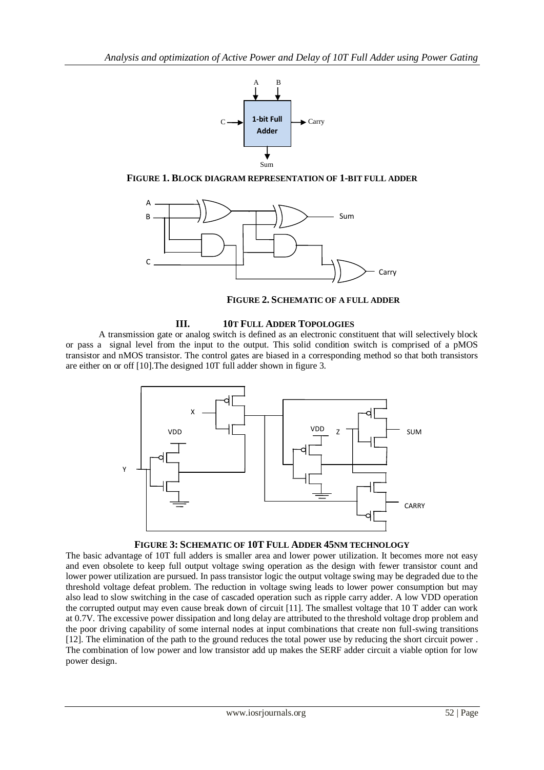

**FIGURE 1. BLOCK DIAGRAM REPRESENTATION OF 1-BIT FULL ADDER** 



**FIGURE 2. SCHEMATIC OF A FULL ADDER**

# **III. 10T FULL ADDER TOPOLOGIES**

A transmission gate or analog switch is defined as an electronic constituent that will selectively block or pass a signal level from the input to the output. This solid condition switch is comprised of a pMOS transistor and nMOS transistor. The control gates are biased in a corresponding method so that both transistors are either on or off [10].The designed 10T full adder shown in figure 3.



# **FIGURE 3: SCHEMATIC OF 10T FULL ADDER 45NM TECHNOLOGY**

The basic advantage of 10T full adders is smaller area and lower power utilization. It becomes more not easy and even obsolete to keep full output voltage swing operation as the design with fewer transistor count and lower power utilization are pursued. In pass transistor logic the output voltage swing may be degraded due to the threshold voltage defeat problem. The reduction in voltage swing leads to lower power consumption but may also lead to slow switching in the case of cascaded operation such as ripple carry adder. A low VDD operation the corrupted output may even cause break down of circuit [11]. The smallest voltage that 10 T adder can work at 0.7V. The excessive power dissipation and long delay are attributed to the threshold voltage drop problem and the poor driving capability of some internal nodes at input combinations that create non full-swing transitions [12]. The elimination of the path to the ground reduces the total power use by reducing the short circuit power . The combination of low power and low transistor add up makes the SERF adder circuit a viable option for low power design.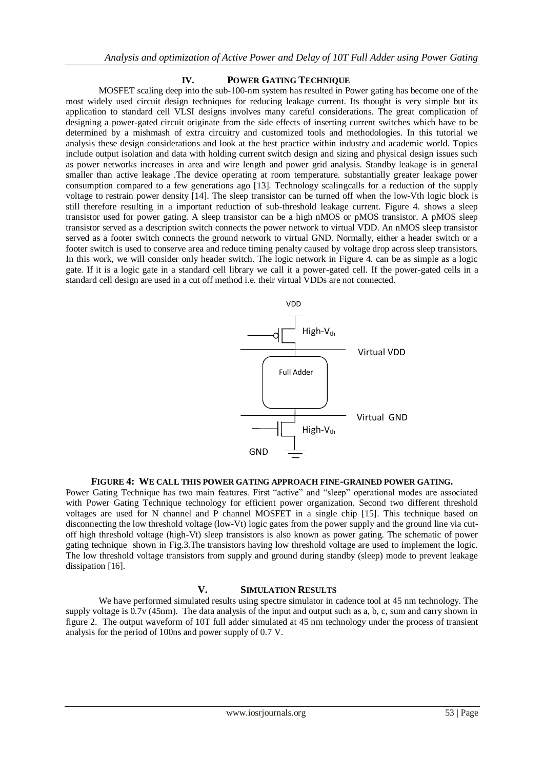## **IV. POWER GATING TECHNIQUE**

MOSFET scaling deep into the sub-100-nm system has resulted in Power gating has become one of the most widely used circuit design techniques for reducing leakage current. Its thought is very simple but its application to standard cell VLSI designs involves many careful considerations. The great complication of designing a power-gated circuit originate from the side effects of inserting current switches which have to be determined by a mishmash of extra circuitry and customized tools and methodologies. In this tutorial we analysis these design considerations and look at the best practice within industry and academic world. Topics include output isolation and data with holding current switch design and sizing and physical design issues such as power networks increases in area and wire length and power grid analysis. Standby leakage is in general smaller than active leakage .The device operating at room temperature. substantially greater leakage power consumption compared to a few generations ago [13]. Technology scalingcalls for a reduction of the supply voltage to restrain power density [14]. The sleep transistor can be turned off when the low-Vth logic block is still therefore resulting in a important reduction of sub-threshold leakage current. Figure 4. shows a sleep transistor used for power gating. A sleep transistor can be a high nMOS or pMOS transistor. A pMOS sleep transistor served as a description switch connects the power network to virtual VDD. An nMOS sleep transistor served as a footer switch connects the ground network to virtual GND. Normally, either a header switch or a footer switch is used to conserve area and reduce timing penalty caused by voltage drop across sleep transistors. In this work, we will consider only header switch. The logic network in Figure 4. can be as simple as a logic gate. If it is a logic gate in a standard cell library we call it a power-gated cell. If the power-gated cells in a standard cell design are used in a cut off method i.e. their virtual VDDs are not connected.



#### **FIGURE 4: WE CALL THIS POWER GATING APPROACH FINE-GRAINED POWER GATING.**

Power Gating Technique has two main features. First "active" and "sleep" operational modes are associated with Power Gating Technique technology for efficient power organization. Second two different threshold voltages are used for N channel and P channel MOSFET in a single chip [15]. This technique based on disconnecting the low threshold voltage (low-Vt) logic gates from the power supply and the ground line via cutoff high threshold voltage (high-Vt) sleep transistors is also known as power gating. The schematic of power gating technique shown in Fig.3.The transistors having low threshold voltage are used to implement the logic. The low threshold voltage transistors from supply and ground during standby (sleep) mode to prevent leakage dissipation [16].

## **V. SIMULATION RESULTS**

We have performed simulated results using spectre simulator in cadence tool at 45 nm technology. The supply voltage is 0.7v (45nm). The data analysis of the input and output such as a, b, c, sum and carry shown in figure 2. The output waveform of 10T full adder simulated at 45 nm technology under the process of transient analysis for the period of 100ns and power supply of 0.7 V.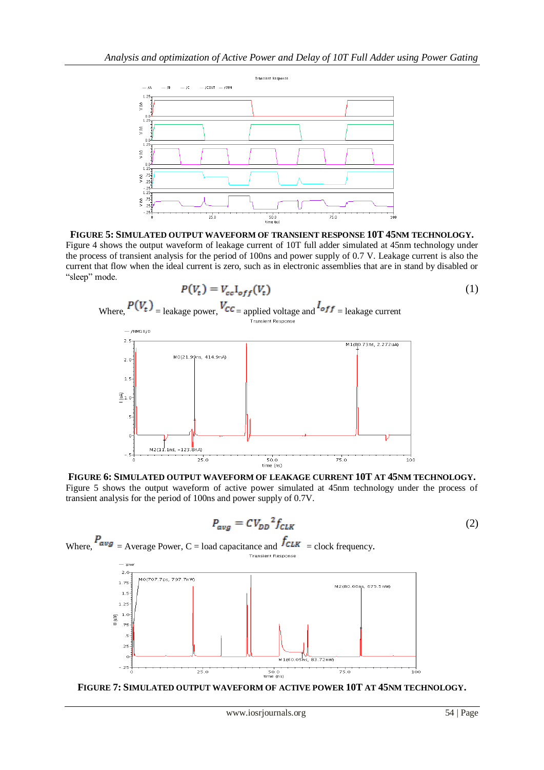

**FIGURE 5: SIMULATED OUTPUT WAVEFORM OF TRANSIENT RESPONSE 10T 45NM TECHNOLOGY.** Figure 4 shows the output waveform of leakage current of 10T full adder simulated at 45nm technology under the process of transient analysis for the period of 100ns and power supply of 0.7 V. Leakage current is also the current that flow when the ideal current is zero, such as in electronic assemblies that are in stand by disabled or "sleep" mode.





$$
P_{avg} = CV_{DD}{}^2 f_{CLK} \tag{2}
$$



**FIGURE 7: SIMULATED OUTPUT WAVEFORM OF ACTIVE POWER 10T AT 45NM TECHNOLOGY.**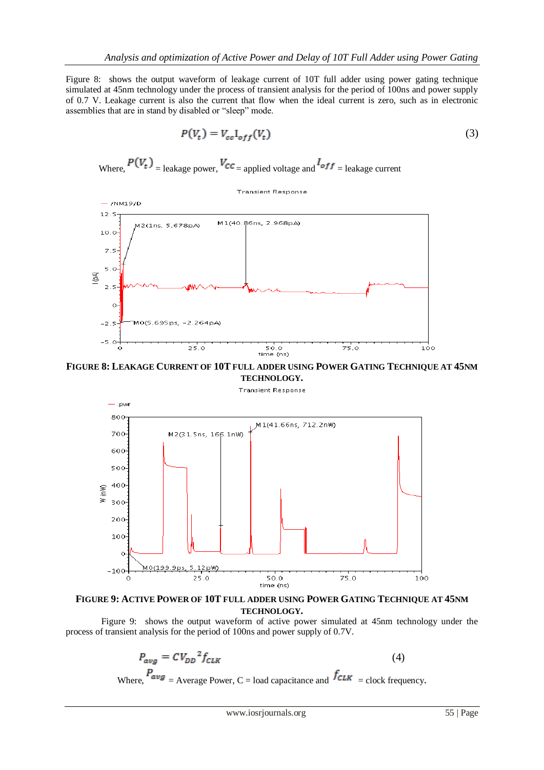Figure 8: shows the output waveform of leakage current of 10T full adder using power gating technique simulated at 45nm technology under the process of transient analysis for the period of 100ns and power supply of 0.7 V. Leakage current is also the current that flow when the ideal current is zero, such as in electronic assemblies that are in stand by disabled or "sleep" mode.

$$
P(V_t) = V_{cc} I_{off}(V_t)
$$
\n(3)

Where, 
$$
P(V_t)
$$
 = leakage power,  $V_{CC}$  = applied voltage and  $I_{off}$  = leakage current

**Transient Response** 



**FIGURE 8: LEAKAGE CURRENT OF 10T FULL ADDER USING POWER GATING TECHNIQUE AT 45NM TECHNOLOGY.**

**Transient Response** 



# **FIGURE 9: ACTIVE POWER OF 10T FULL ADDER USING POWER GATING TECHNIQUE AT 45NM TECHNOLOGY.**

 Figure 9: shows the output waveform of active power simulated at 45nm technology under the process of transient analysis for the period of 100ns and power supply of 0.7V.

$$
P_{avg} = CV_{DD}^2 f_{CLK}
$$
\n(4)  
\n
$$
P_{avg} = \Delta_{V \text{ergge Power}} C - \log_{C}^2 f_{CLK}^2
$$
\n(4)

Where,  $\sqrt{avg}$  = Average Power, C = load capacitance and  $\sqrt{CLK}$  = clock frequency.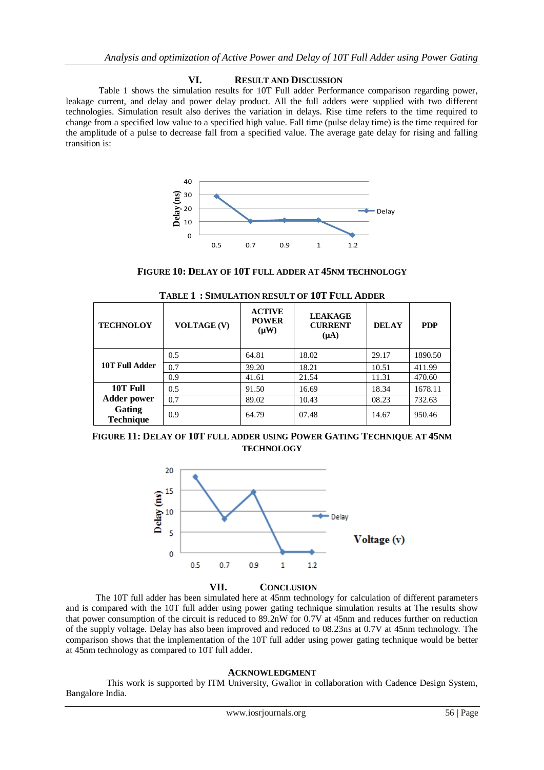## **VI. RESULT AND DISCUSSION**

Table 1 shows the simulation results for 10T Full adder Performance comparison regarding power, leakage current, and delay and power delay product. All the full adders were supplied with two different technologies. Simulation result also derives the variation in delays. Rise time refers to the time required to change from a specified low value to a specified high value. Fall time (pulse delay time) is the time required for the amplitude of a pulse to decrease fall from a specified value. The average gate delay for rising and falling transition is:



**FIGURE 10: DELAY OF 10T FULL ADDER AT 45NM TECHNOLOGY** 

| <b>TECHNOLOY</b>           | <b>VOLTAGE (V)</b> | <b>ACTIVE</b><br><b>POWER</b><br>$(\mu W)$ | <b>LEAKAGE</b><br><b>CURRENT</b><br>$(\mu A)$ | <b>DELAY</b> | <b>PDP</b> |
|----------------------------|--------------------|--------------------------------------------|-----------------------------------------------|--------------|------------|
| 10T Full Adder             | 0.5                | 64.81                                      | 18.02                                         | 29.17        | 1890.50    |
|                            | 0.7                | 39.20                                      | 18.21                                         | 10.51        | 411.99     |
|                            | 0.9                | 41.61                                      | 21.54                                         | 11.31        | 470.60     |
| 10T Full                   | 0.5                | 91.50                                      | 16.69                                         | 18.34        | 1678.11    |
| <b>Adder power</b>         | 0.7                | 89.02                                      | 10.43                                         | 08.23        | 732.63     |
| Gating<br><b>Technique</b> | 0.9                | 64.79                                      | 07.48                                         | 14.67        | 950.46     |

**TABLE 1 : SIMULATION RESULT OF 10T FULL ADDER**

**FIGURE 11: DELAY OF 10T FULL ADDER USING POWER GATING TECHNIQUE AT 45NM TECHNOLOGY**



**VII. CONCLUSION**

 The 10T full adder has been simulated here at 45nm technology for calculation of different parameters and is compared with the 10T full adder using power gating technique simulation results at The results show that power consumption of the circuit is reduced to 89.2nW for 0.7V at 45nm and reduces further on reduction of the supply voltage. Delay has also been improved and reduced to 08.23ns at 0.7V at 45nm technology. The comparison shows that the implementation of the 10T full adder using power gating technique would be better at 45nm technology as compared to 10T full adder.

#### **ACKNOWLEDGMENT**

 This work is supported by ITM University, Gwalior in collaboration with Cadence Design System, Bangalore India.